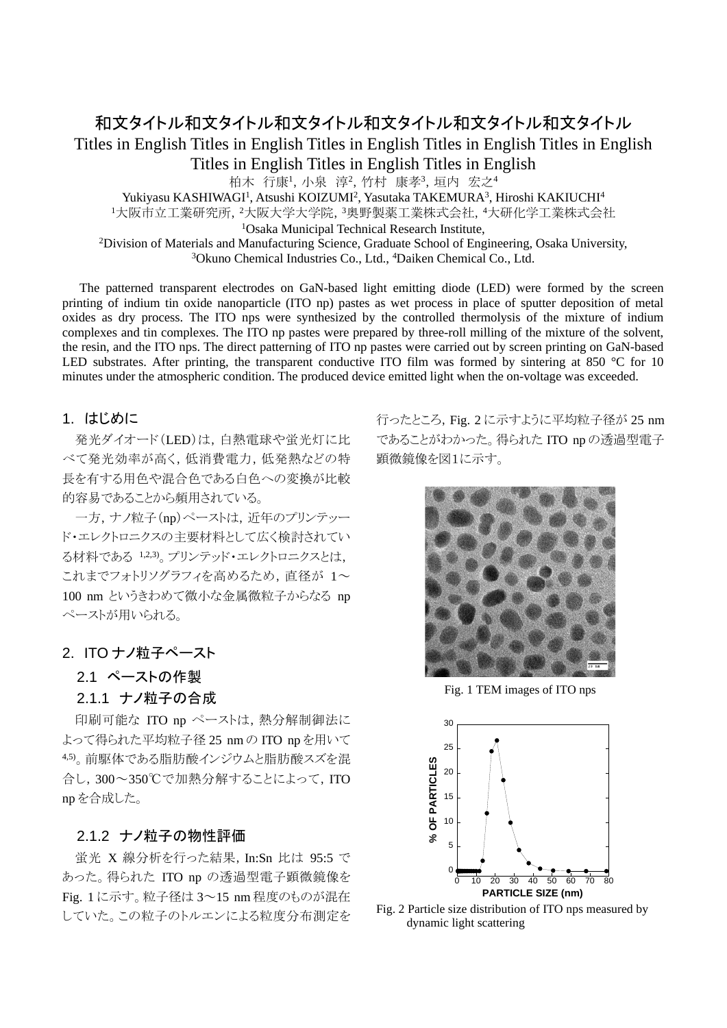# 和文タイトル和文タイトル和文タイトル和文タイトル和文タイトル和文タイトル Titles in English Titles in English Titles in English Titles in English Titles in English Titles in English Titles in English Titles in English 柏木 行康1, 小泉 淳2, 竹村 康孝3, 垣内 宏之4 Yukiyasu KASHIWAGI<sup>1</sup>, Atsushi KOIZUMI<sup>2</sup>, Yasutaka TAKEMURA<sup>3</sup>, Hiroshi KAKIUCHI<sup>4</sup> 1大阪市立工業研究所, 2大阪大学大学院, 3奥野製薬工業株式会社, 4大研化学工業株式会社 <sup>1</sup>Osaka Municipal Technical Research Institute,

**Osaka Municipal Technical Research Institute,**<br><sup>2</sup>Division of Materials and Manufacturing Science, Graduate School of Eng Division of Materials and Manufacturing Science, Graduate School of Engineering, Osaka University,<br><sup>3</sup>Okuno Chemical Industries Co. Ltd. <sup>4</sup>Daiken Chemical Co. Ltd. Okuno Chemical Industries Co., Ltd., 4 Daiken Chemical Co., Ltd.

The patterned transparent electrodes on GaN-based light emitting diode (LED) were formed by the screen printing of indium tin oxide nanoparticle (ITO np) pastes as wet process in place of sputter deposition of metal oxides as dry process. The ITO nps were synthesized by the controlled thermolysis of the mixture of indium complexes and tin complexes. The ITO np pastes were prepared by three-roll milling of the mixture of the solvent, the resin, and the ITO nps. The direct patterning of ITO np pastes were carried out by screen printing on GaN-based LED substrates. After printing, the transparent conductive ITO film was formed by sintering at 850 °C for 10 minutes under the atmospheric condition. The produced device emitted light when the on-voltage was exceeded.

#### 1. はじめに

発光ダイオード(LED)は,白熱電球や蛍光灯に比 べて発光効率が高く,低消費電力,低発熱などの特 長を有する用色や混合色である白色への変換が比較 的容易であることから頻用されている。

一方, ナノ粒子(np)ペーストは, 近年のプリンテッー ド・エレクトロニクスの主要材料として広く検討されてい る材料である 1,2,3) 。プリンテッド・エレクトロニクスとは, これまでフォトリソグラフィを高めるため、直径が 1~ 100 nm というきわめて微小な金属微粒子からなる np ペーストが用いられる。

#### 2. ITO ナノ粒子ペースト

### 2.1 ペーストの作製

# 2.1.1 ナノ粒子の合成

印刷可能な ITO np ペーストは,熱分解制御法に よって得られた平均粒子径 25 nm の ITO np を用いて 4,5)。前駆体である脂肪酸インジウムと脂肪酸スズを混 合し,300~350℃で加熱分解することによって,ITO np を合成した。

# 2.1.2 ナノ粒子の物性評価

蛍光 X 線分析を行った結果,In:Sn 比は 95:5 で あった。得られた ITO np の透過型電子顕微鏡像を Fig. 1 に示す。粒子径は 3~15 nm 程度のものが混在 していた。この粒子のトルエンによる粒度分布測定を 行ったところ,Fig. 2 に示すように平均粒子径が 25 nm であることがわかった。得られた ITO np の透過型電子 顕微鏡像を図1に示す。



Fig. 1 TEM images of ITO nps



Fig. 2 Particle size distribution of ITO nps measured by dynamic light scattering